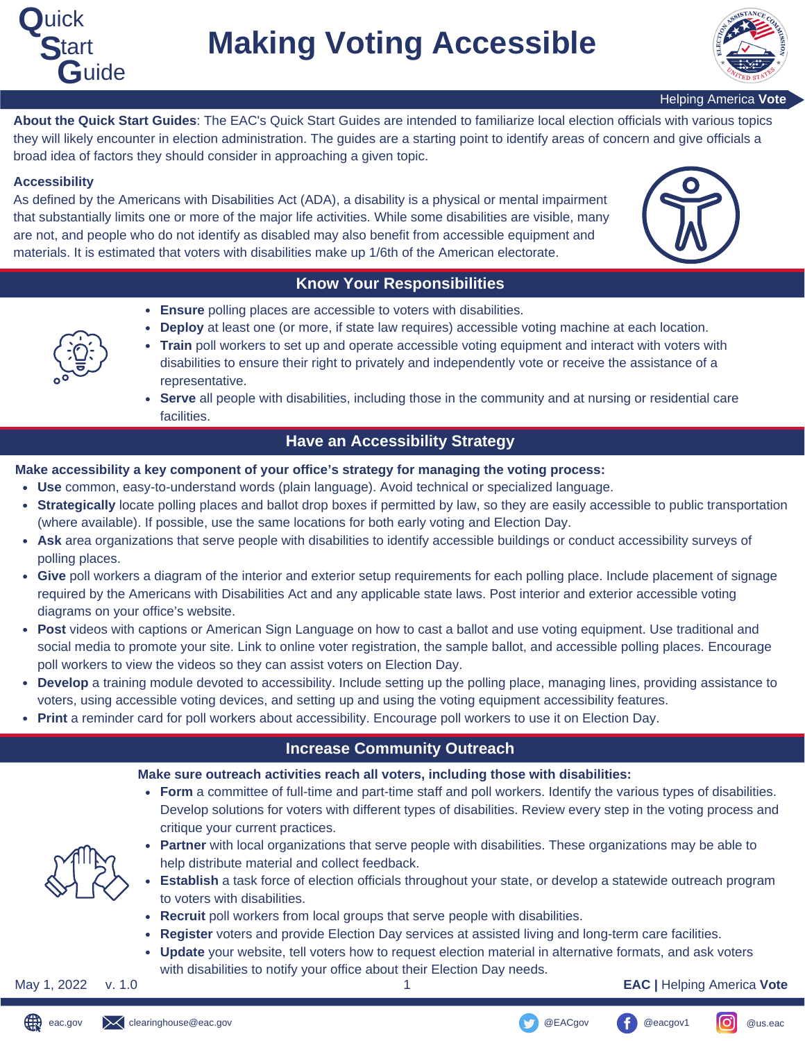



Helping America **Vote**

**About the Quick Start Guides**: The EAC's Quick Start Guides are intended to familiarize local election officials with various topics they will likely encounter in election administration. The guides are a starting point to identify areas of concern and give officials a broad idea of factors they should consider in approaching a given topic.

#### **Accessibility**

As defined by the Americans with Disabilities Act (ADA), a disability is a physical or mental impairment that substantially limits one or more of the major life activities. While some disabilities are visible, many are not, and people who do not identify as disabled may also benefit from accessible equipment and materials. It is estimated that voters with disabilities make up 1/6th of the American electorate.



## **Know Your Responsibilities**

- **Ensure** polling places are accessible to voters with disabilities.
- **Deploy** at least one (or more, if state law requires) accessible voting machine at each location.  $\bullet$



- **Train** poll workers to set up and operate accessible voting equipment and interact with voters with disabilities to ensure their right to privately and independently vote or receive the assistance of a representative.
- **Serve** all people with disabilities, including those in the community and at nursing or residential care facilities.

### **Have an Accessibility Strategy**

**Make accessibility a key component of your office's strategy for managing the voting process:**

- **Use** common, easy-to-understand words (plain language). Avoid technical or specialized language.
- **Strategically** locate polling places and ballot drop boxes if permitted by law, so they are easily accessible to public transportation (where available). If possible, use the same locations for both early voting and Election Day.
- **Ask** area organizations that serve people with disabilities to identify accessible buildings or conduct accessibility surveys of polling places.
- **Give** poll workers a diagram of the interior and exterior setup requirements for each polling place. Include placement of signage required by the Americans with Disabilities Act and any applicable state laws. Post interior and exterior accessible voting diagrams on your office's website.
- **Post** videos with captions or American Sign Language on how to cast a ballot and use voting equipment. Use traditional and social media to promote your site. Link to online voter registration, the sample ballot, and accessible polling places. Encourage poll workers to view the videos so they can assist voters on Election Day.
- **Develop** a training module devoted to accessibility. Include setting up the polling place, managing lines, providing assistance to voters, using accessible voting devices, and setting up and using the voting equipment accessibility features.
- **Print** a reminder card for poll workers about accessibility. Encourage poll workers to use it on Election Day.

## **Increase Community Outreach**

**Make sure outreach activities reach all voters, including those with disabilities:**

**Form** a committee of full-time and part-time staff and poll workers. Identify the various types of disabilities. Develop solutions for voters with different types of disabilities. Review every step in the voting process and critique your current practices.



- **Partner** with local organizations that serve people with disabilities. These organizations may be able to help distribute material and collect feedback.
- **Establish** a task force of election officials throughout your state, or develop a statewide outreach program to voters with disabilities.
- **Recruit** poll workers from local groups that serve people with disabilities.
- **Register** voters and provide Election Day services at assisted living and long-term care facilities.
- **Update** your website, tell voters how to request election material in alternative formats, and ask voters with disabilities to notify your office about their Election Day needs.

May 1, 2022 v. 1.0 1 **EAC |** Helping America **Vote**